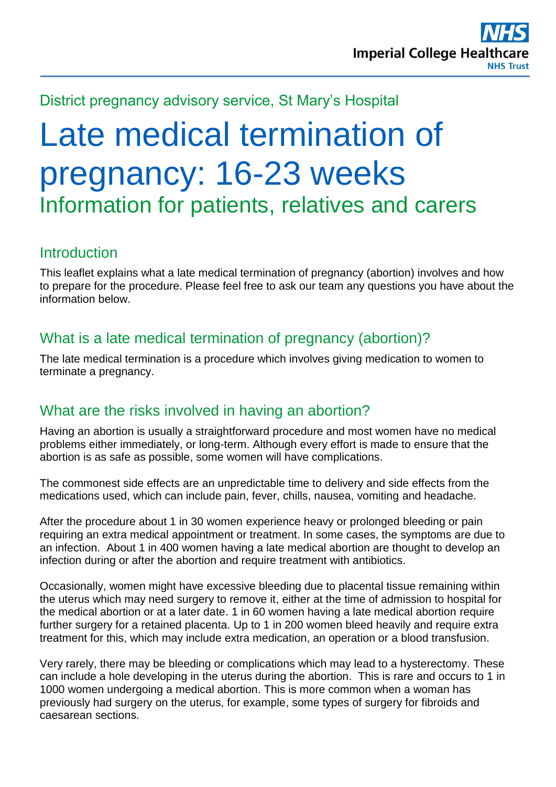## District pregnancy advisory service, St Mary's Hospital

# Late medical termination of pregnancy: 16-23 weeks Information for patients, relatives and carers

## **Introduction**

This leaflet explains what a late medical termination of pregnancy (abortion) involves and how to prepare for the procedure. Please feel free to ask our team any questions you have about the information below.

# What is a late medical termination of pregnancy (abortion)?

The late medical termination is a procedure which involves giving medication to women to terminate a pregnancy.

# What are the risks involved in having an abortion?

Having an abortion is usually a straightforward procedure and most women have no medical problems either immediately, or long-term. Although every effort is made to ensure that the abortion is as safe as possible, some women will have complications.

The commonest side effects are an unpredictable time to delivery and side effects from the medications used, which can include pain, fever, chills, nausea, vomiting and headache.

After the procedure about 1 in 30 women experience heavy or prolonged bleeding or pain requiring an extra medical appointment or treatment. In some cases, the symptoms are due to an infection. About 1 in 400 women having a late medical abortion are thought to develop an infection during or after the abortion and require treatment with antibiotics.

Occasionally, women might have excessive bleeding due to placental tissue remaining within the uterus which may need surgery to remove it, either at the time of admission to hospital for the medical abortion or at a later date. 1 in 60 women having a late medical abortion require further surgery for a retained placenta. Up to 1 in 200 women bleed heavily and require extra treatment for this, which may include extra medication, an operation or a blood transfusion.

Very rarely, there may be bleeding or complications which may lead to a hysterectomy. These can include a hole developing in the uterus during the abortion. This is rare and occurs to 1 in 1000 women undergoing a medical abortion. This is more common when a woman has previously had surgery on the uterus, for example, some types of surgery for fibroids and caesarean sections.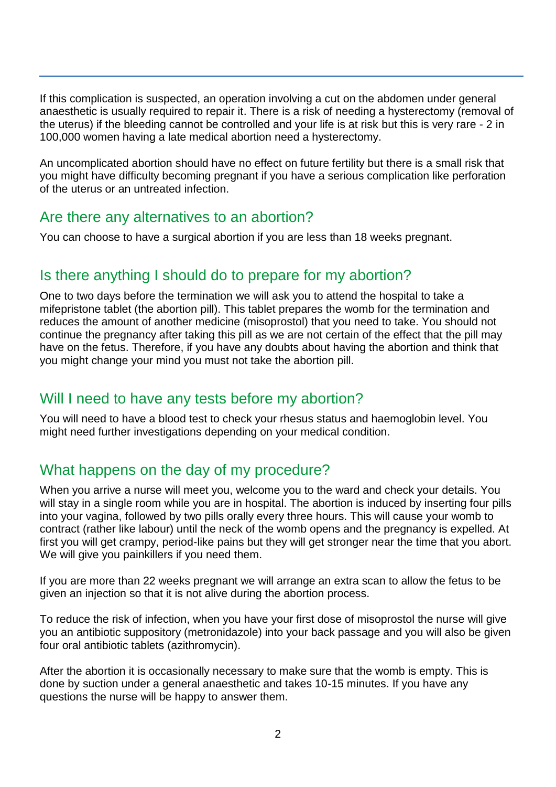If this complication is suspected, an operation involving a cut on the abdomen under general anaesthetic is usually required to repair it. There is a risk of needing a hysterectomy (removal of the uterus) if the bleeding cannot be controlled and your life is at risk but this is very rare - 2 in 100,000 women having a late medical abortion need a hysterectomy.

An uncomplicated abortion should have no effect on future fertility but there is a small risk that you might have difficulty becoming pregnant if you have a serious complication like perforation of the uterus or an untreated infection.

## Are there any alternatives to an abortion?

You can choose to have a surgical abortion if you are less than 18 weeks pregnant.

# Is there anything I should do to prepare for my abortion?

One to two days before the termination we will ask you to attend the hospital to take a mifepristone tablet (the abortion pill). This tablet prepares the womb for the termination and reduces the amount of another medicine (misoprostol) that you need to take. You should not continue the pregnancy after taking this pill as we are not certain of the effect that the pill may have on the fetus. Therefore, if you have any doubts about having the abortion and think that you might change your mind you must not take the abortion pill.

# Will I need to have any tests before my abortion?

You will need to have a blood test to check your rhesus status and haemoglobin level. You might need further investigations depending on your medical condition.

# What happens on the day of my procedure?

When you arrive a nurse will meet you, welcome you to the ward and check your details. You will stay in a single room while you are in hospital. The abortion is induced by inserting four pills into your vagina, followed by two pills orally every three hours. This will cause your womb to contract (rather like labour) until the neck of the womb opens and the pregnancy is expelled. At first you will get crampy, period-like pains but they will get stronger near the time that you abort. We will give you painkillers if you need them.

If you are more than 22 weeks pregnant we will arrange an extra scan to allow the fetus to be given an injection so that it is not alive during the abortion process.

To reduce the risk of infection, when you have your first dose of misoprostol the nurse will give you an antibiotic suppository (metronidazole) into your back passage and you will also be given four oral antibiotic tablets (azithromycin).

After the abortion it is occasionally necessary to make sure that the womb is empty. This is done by suction under a general anaesthetic and takes 10-15 minutes. If you have any questions the nurse will be happy to answer them.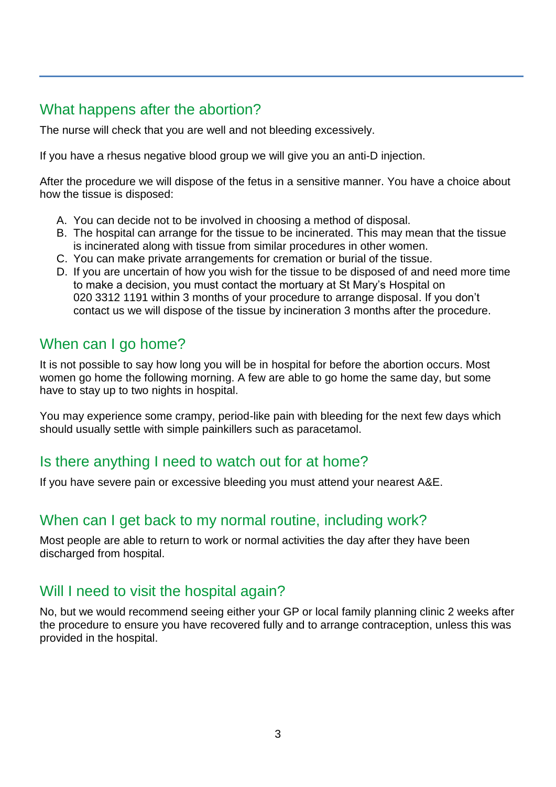# What happens after the abortion?

The nurse will check that you are well and not bleeding excessively.

If you have a rhesus negative blood group we will give you an anti-D injection.

After the procedure we will dispose of the fetus in a sensitive manner. You have a choice about how the tissue is disposed:

- A. You can decide not to be involved in choosing a method of disposal.
- B. The hospital can arrange for the tissue to be incinerated. This may mean that the tissue is incinerated along with tissue from similar procedures in other women.
- C. You can make private arrangements for cremation or burial of the tissue.
- D. If you are uncertain of how you wish for the tissue to be disposed of and need more time to make a decision, you must contact the mortuary at St Mary's Hospital on 020 3312 1191 within 3 months of your procedure to arrange disposal. If you don't contact us we will dispose of the tissue by incineration 3 months after the procedure.

# When can I go home?

It is not possible to say how long you will be in hospital for before the abortion occurs. Most women go home the following morning. A few are able to go home the same day, but some have to stay up to two nights in hospital.

You may experience some crampy, period-like pain with bleeding for the next few days which should usually settle with simple painkillers such as paracetamol.

## Is there anything I need to watch out for at home?

If you have severe pain or excessive bleeding you must attend your nearest A&E.

#### When can I get back to my normal routine, including work?

Most people are able to return to work or normal activities the day after they have been discharged from hospital.

## Will I need to visit the hospital again?

No, but we would recommend seeing either your GP or local family planning clinic 2 weeks after the procedure to ensure you have recovered fully and to arrange contraception, unless this was provided in the hospital.